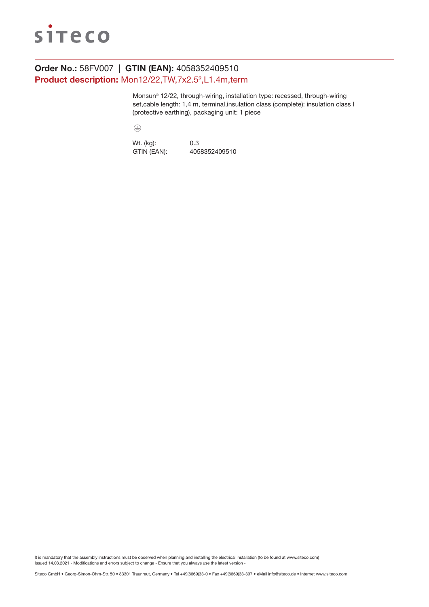

# Order No.: 58FV007 | GTIN (EAN): 4058352409510 Product description: Mon12/22,TW,7x2.5²,L1.4m,term

Monsun® 12/22, through-wiring, installation type: recessed, through-wiring set,cable length: 1,4 m, terminal,insulation class (complete): insulation class I (protective earthing), packaging unit: 1 piece

 $\bigoplus$ 

Wt. (kg): 0.3 GTIN (EAN): 4058352409510

It is mandatory that the assembly instructions must be observed when planning and installing the electrical installation (to be found at www.siteco.com) Issued 14.03.2021 - Modifications and errors subject to change - Ensure that you always use the latest version -